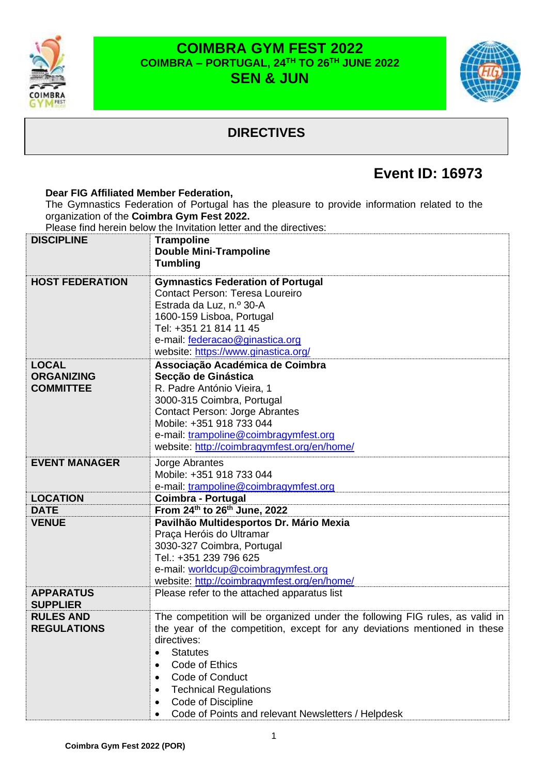

### **COIMBRA GYM FEST 2022 COIMBRA – PORTUGAL, 24 TH TO 26 TH JUNE 2022 SEN & JUN**



## **DIRECTIVES**

# **Event ID: 16973**

### **Dear FIG Affiliated Member Federation,** The Gymnastics Federation of Portugal has the pleasure to provide information related to the organization of the **Coimbra Gym Fest 2022.**

Please find herein below the Invitation letter and the directives:

| <b>DISCIPLINE</b>                   | <b>Trampoline</b><br><b>Double Mini-Trampoline</b>                                 |
|-------------------------------------|------------------------------------------------------------------------------------|
|                                     | <b>Tumbling</b>                                                                    |
| <b>HOST FEDERATION</b>              | <b>Gymnastics Federation of Portugal</b><br><b>Contact Person: Teresa Loureiro</b> |
|                                     | Estrada da Luz, n.º 30-A<br>1600-159 Lisboa, Portugal                              |
|                                     | Tel: +351 21 814 11 45                                                             |
|                                     | e-mail: federacao@ginastica.org<br>website: https://www.ginastica.org/             |
| <b>LOCAL</b>                        | Associação Académica de Coimbra                                                    |
| <b>ORGANIZING</b>                   | Secção de Ginástica                                                                |
| <b>COMMITTEE</b>                    | R. Padre António Vieira, 1                                                         |
|                                     | 3000-315 Coimbra, Portugal<br><b>Contact Person: Jorge Abrantes</b>                |
|                                     | Mobile: +351 918 733 044                                                           |
|                                     | e-mail: trampoline@coimbragymfest.org                                              |
|                                     | website: http://coimbragymfest.org/en/home/                                        |
| <b>EVENT MANAGER</b>                | Jorge Abrantes                                                                     |
|                                     | Mobile: +351 918 733 044                                                           |
|                                     | e-mail: trampoline@coimbragymfest.org                                              |
| <b>LOCATION</b>                     | Coimbra - Portugal                                                                 |
| <b>DATE</b>                         | From 24th to 26th June, 2022                                                       |
| <b>VENUE</b>                        | Pavilhão Multidesportos Dr. Mário Mexia<br>Praça Heróis do Ultramar                |
|                                     | 3030-327 Coimbra, Portugal                                                         |
|                                     | Tel.: +351 239 796 625                                                             |
|                                     | e-mail: worldcup@coimbragymfest.org                                                |
|                                     | website: http://coimbragymfest.org/en/home/                                        |
| <b>APPARATUS</b><br><b>SUPPLIER</b> | Please refer to the attached apparatus list                                        |
| <b>RULES AND</b>                    | The competition will be organized under the following FIG rules, as valid in       |
| <b>REGULATIONS</b>                  | the year of the competition, except for any deviations mentioned in these          |
|                                     | directives:                                                                        |
|                                     | <b>Statutes</b>                                                                    |
|                                     | Code of Ethics                                                                     |
|                                     | Code of Conduct                                                                    |
|                                     | <b>Technical Regulations</b><br>$\bullet$                                          |
|                                     | Code of Discipline<br>٠                                                            |
|                                     | Code of Points and relevant Newsletters / Helpdesk<br>$\bullet$                    |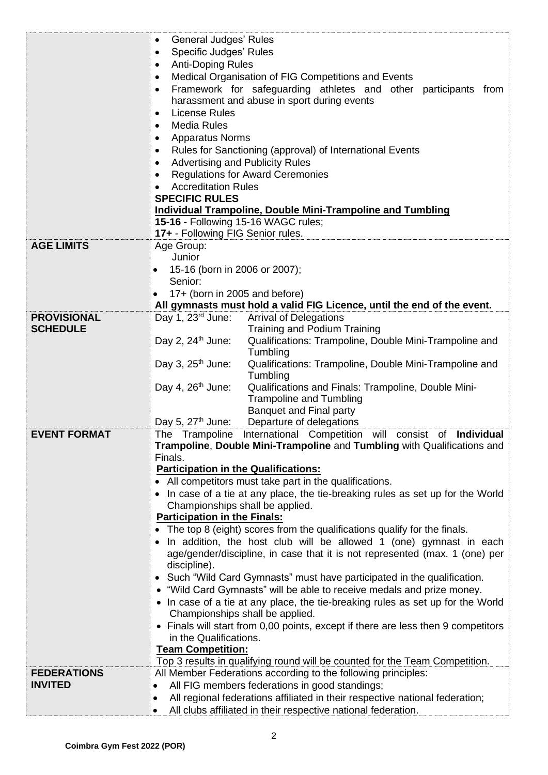|                     | <b>General Judges' Rules</b><br>$\bullet$<br>Specific Judges' Rules<br>$\bullet$<br><b>Anti-Doping Rules</b><br>$\bullet$<br>Medical Organisation of FIG Competitions and Events<br>$\bullet$<br>Framework for safeguarding athletes and other participants from<br>$\bullet$<br>harassment and abuse in sport during events<br><b>License Rules</b><br>$\bullet$<br><b>Media Rules</b><br>$\bullet$<br><b>Apparatus Norms</b><br>$\bullet$<br>Rules for Sanctioning (approval) of International Events<br>$\bullet$<br><b>Advertising and Publicity Rules</b><br>$\bullet$ |  |  |  |  |  |
|---------------------|-----------------------------------------------------------------------------------------------------------------------------------------------------------------------------------------------------------------------------------------------------------------------------------------------------------------------------------------------------------------------------------------------------------------------------------------------------------------------------------------------------------------------------------------------------------------------------|--|--|--|--|--|
|                     | <b>Regulations for Award Ceremonies</b><br>$\bullet$                                                                                                                                                                                                                                                                                                                                                                                                                                                                                                                        |  |  |  |  |  |
|                     | <b>Accreditation Rules</b><br>$\bullet$<br><b>SPECIFIC RULES</b>                                                                                                                                                                                                                                                                                                                                                                                                                                                                                                            |  |  |  |  |  |
|                     | <b>Individual Trampoline, Double Mini-Trampoline and Tumbling</b>                                                                                                                                                                                                                                                                                                                                                                                                                                                                                                           |  |  |  |  |  |
|                     | 15-16 - Following 15-16 WAGC rules;<br>17+ - Following FIG Senior rules.                                                                                                                                                                                                                                                                                                                                                                                                                                                                                                    |  |  |  |  |  |
| <b>AGE LIMITS</b>   | Age Group:                                                                                                                                                                                                                                                                                                                                                                                                                                                                                                                                                                  |  |  |  |  |  |
|                     | Junior                                                                                                                                                                                                                                                                                                                                                                                                                                                                                                                                                                      |  |  |  |  |  |
|                     | 15-16 (born in 2006 or 2007);<br>$\bullet$                                                                                                                                                                                                                                                                                                                                                                                                                                                                                                                                  |  |  |  |  |  |
|                     | Senior:<br>17+ (born in 2005 and before)<br>$\bullet$                                                                                                                                                                                                                                                                                                                                                                                                                                                                                                                       |  |  |  |  |  |
|                     | All gymnasts must hold a valid FIG Licence, until the end of the event.                                                                                                                                                                                                                                                                                                                                                                                                                                                                                                     |  |  |  |  |  |
| <b>PROVISIONAL</b>  | Day 1, $23rd$ June:<br><b>Arrival of Delegations</b>                                                                                                                                                                                                                                                                                                                                                                                                                                                                                                                        |  |  |  |  |  |
| <b>SCHEDULE</b>     | Training and Podium Training<br>Day 2, $24^{\text{th}}$ June:<br>Qualifications: Trampoline, Double Mini-Trampoline and<br>Tumbling                                                                                                                                                                                                                                                                                                                                                                                                                                         |  |  |  |  |  |
|                     | Day 3, $25th$ June:<br>Qualifications: Trampoline, Double Mini-Trampoline and<br>Tumbling                                                                                                                                                                                                                                                                                                                                                                                                                                                                                   |  |  |  |  |  |
|                     | Day 4, $26th$ June:<br>Qualifications and Finals: Trampoline, Double Mini-<br><b>Trampoline and Tumbling</b><br><b>Banquet and Final party</b>                                                                                                                                                                                                                                                                                                                                                                                                                              |  |  |  |  |  |
|                     | Day 5, $27th$ June:<br>Departure of delegations                                                                                                                                                                                                                                                                                                                                                                                                                                                                                                                             |  |  |  |  |  |
| <b>EVENT FORMAT</b> | International Competition<br>will consist of Individual<br>The Trampoline<br>Trampoline, Double Mini-Trampoline and Tumbling with Qualifications and<br>Finals.                                                                                                                                                                                                                                                                                                                                                                                                             |  |  |  |  |  |
|                     | <b>Participation in the Qualifications:</b><br>• All competitors must take part in the qualifications.                                                                                                                                                                                                                                                                                                                                                                                                                                                                      |  |  |  |  |  |
|                     | In case of a tie at any place, the tie-breaking rules as set up for the World                                                                                                                                                                                                                                                                                                                                                                                                                                                                                               |  |  |  |  |  |
|                     | Championships shall be applied.                                                                                                                                                                                                                                                                                                                                                                                                                                                                                                                                             |  |  |  |  |  |
|                     | <b>Participation in the Finals:</b><br>The top 8 (eight) scores from the qualifications qualify for the finals.                                                                                                                                                                                                                                                                                                                                                                                                                                                             |  |  |  |  |  |
|                     | In addition, the host club will be allowed 1 (one) gymnast in each<br>age/gender/discipline, in case that it is not represented (max. 1 (one) per<br>discipline).                                                                                                                                                                                                                                                                                                                                                                                                           |  |  |  |  |  |
|                     | • Such "Wild Card Gymnasts" must have participated in the qualification.                                                                                                                                                                                                                                                                                                                                                                                                                                                                                                    |  |  |  |  |  |
|                     | • "Wild Card Gymnasts" will be able to receive medals and prize money.<br>• In case of a tie at any place, the tie-breaking rules as set up for the World<br>Championships shall be applied.                                                                                                                                                                                                                                                                                                                                                                                |  |  |  |  |  |
|                     | Finals will start from 0,00 points, except if there are less then 9 competitors<br>$\bullet$<br>in the Qualifications.                                                                                                                                                                                                                                                                                                                                                                                                                                                      |  |  |  |  |  |
|                     | <b>Team Competition:</b><br>Top 3 results in qualifying round will be counted for the Team Competition.                                                                                                                                                                                                                                                                                                                                                                                                                                                                     |  |  |  |  |  |
| <b>FEDERATIONS</b>  | All Member Federations according to the following principles:                                                                                                                                                                                                                                                                                                                                                                                                                                                                                                               |  |  |  |  |  |
| <b>INVITED</b>      | All FIG members federations in good standings;<br>$\bullet$                                                                                                                                                                                                                                                                                                                                                                                                                                                                                                                 |  |  |  |  |  |
|                     | All regional federations affiliated in their respective national federation;<br>$\bullet$<br>All clubs affiliated in their respective national federation.<br>$\bullet$                                                                                                                                                                                                                                                                                                                                                                                                     |  |  |  |  |  |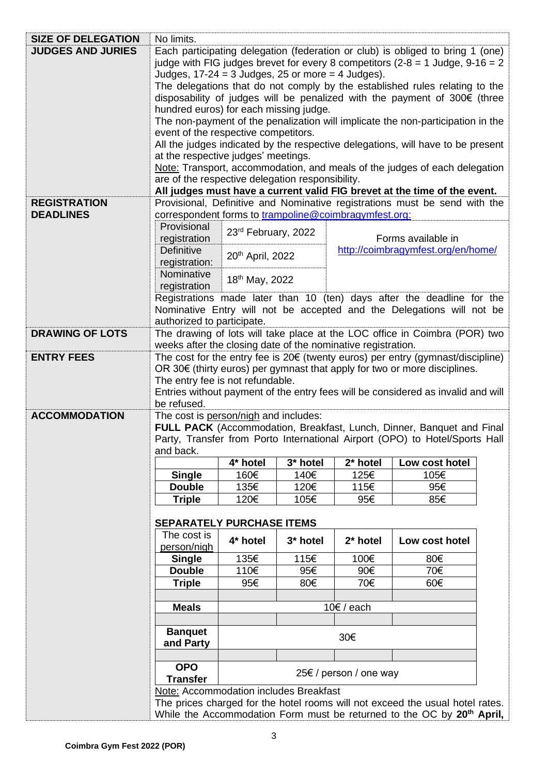| <b>SIZE OF DELEGATION</b> | No limits.                                                                                                                                                                                                                                                                                                                                                                          |                                                                                                                      |          |                        |                                                                                                                                                                     |  |
|---------------------------|-------------------------------------------------------------------------------------------------------------------------------------------------------------------------------------------------------------------------------------------------------------------------------------------------------------------------------------------------------------------------------------|----------------------------------------------------------------------------------------------------------------------|----------|------------------------|---------------------------------------------------------------------------------------------------------------------------------------------------------------------|--|
| <b>JUDGES AND JURIES</b>  | Each participating delegation (federation or club) is obliged to bring 1 (one)                                                                                                                                                                                                                                                                                                      |                                                                                                                      |          |                        |                                                                                                                                                                     |  |
|                           | judge with FIG judges brevet for every 8 competitors ( $2-8 = 1$ Judge, $9-16 = 2$ )                                                                                                                                                                                                                                                                                                |                                                                                                                      |          |                        |                                                                                                                                                                     |  |
|                           | Judges, $17-24 = 3$ Judges, 25 or more = 4 Judges).                                                                                                                                                                                                                                                                                                                                 |                                                                                                                      |          |                        |                                                                                                                                                                     |  |
|                           | The delegations that do not comply by the established rules relating to the                                                                                                                                                                                                                                                                                                         |                                                                                                                      |          |                        |                                                                                                                                                                     |  |
|                           | disposability of judges will be penalized with the payment of 300€ (three                                                                                                                                                                                                                                                                                                           |                                                                                                                      |          |                        |                                                                                                                                                                     |  |
|                           | hundred euros) for each missing judge.                                                                                                                                                                                                                                                                                                                                              |                                                                                                                      |          |                        |                                                                                                                                                                     |  |
|                           | The non-payment of the penalization will implicate the non-participation in the<br>event of the respective competitors.<br>All the judges indicated by the respective delegations, will have to be present<br>at the respective judges' meetings.<br>Note: Transport, accommodation, and meals of the judges of each delegation<br>are of the respective delegation responsibility. |                                                                                                                      |          |                        |                                                                                                                                                                     |  |
|                           |                                                                                                                                                                                                                                                                                                                                                                                     |                                                                                                                      |          |                        |                                                                                                                                                                     |  |
|                           |                                                                                                                                                                                                                                                                                                                                                                                     |                                                                                                                      |          |                        |                                                                                                                                                                     |  |
|                           |                                                                                                                                                                                                                                                                                                                                                                                     |                                                                                                                      |          |                        |                                                                                                                                                                     |  |
|                           |                                                                                                                                                                                                                                                                                                                                                                                     |                                                                                                                      |          |                        |                                                                                                                                                                     |  |
|                           |                                                                                                                                                                                                                                                                                                                                                                                     |                                                                                                                      |          |                        |                                                                                                                                                                     |  |
|                           | All judges must have a current valid FIG brevet at the time of the event.                                                                                                                                                                                                                                                                                                           |                                                                                                                      |          |                        |                                                                                                                                                                     |  |
| <b>REGISTRATION</b>       | Provisional, Definitive and Nominative registrations must be send with the                                                                                                                                                                                                                                                                                                          |                                                                                                                      |          |                        |                                                                                                                                                                     |  |
| <b>DEADLINES</b>          | correspondent forms to trampoline@coimbragymfest.org:                                                                                                                                                                                                                                                                                                                               |                                                                                                                      |          |                        |                                                                                                                                                                     |  |
|                           | Provisional                                                                                                                                                                                                                                                                                                                                                                         | 23rd February, 2022                                                                                                  |          |                        |                                                                                                                                                                     |  |
|                           | registration                                                                                                                                                                                                                                                                                                                                                                        |                                                                                                                      |          |                        | Forms available in                                                                                                                                                  |  |
|                           | Definitive                                                                                                                                                                                                                                                                                                                                                                          | 20 <sup>th</sup> April, 2022                                                                                         |          |                        | http://coimbragymfest.org/en/home/                                                                                                                                  |  |
|                           | registration:                                                                                                                                                                                                                                                                                                                                                                       |                                                                                                                      |          |                        |                                                                                                                                                                     |  |
|                           | Nominative                                                                                                                                                                                                                                                                                                                                                                          | 18 <sup>th</sup> May, 2022                                                                                           |          |                        |                                                                                                                                                                     |  |
|                           | registration                                                                                                                                                                                                                                                                                                                                                                        |                                                                                                                      |          |                        |                                                                                                                                                                     |  |
|                           |                                                                                                                                                                                                                                                                                                                                                                                     |                                                                                                                      |          |                        | Registrations made later than 10 (ten) days after the deadline for the                                                                                              |  |
|                           |                                                                                                                                                                                                                                                                                                                                                                                     |                                                                                                                      |          |                        | Nominative Entry will not be accepted and the Delegations will not be                                                                                               |  |
|                           | authorized to participate.                                                                                                                                                                                                                                                                                                                                                          |                                                                                                                      |          |                        |                                                                                                                                                                     |  |
| <b>DRAWING OF LOTS</b>    |                                                                                                                                                                                                                                                                                                                                                                                     |                                                                                                                      |          |                        | The drawing of lots will take place at the LOC office in Coimbra (POR) two                                                                                          |  |
|                           | weeks after the closing date of the nominative registration.                                                                                                                                                                                                                                                                                                                        |                                                                                                                      |          |                        |                                                                                                                                                                     |  |
| <b>ENTRY FEES</b>         |                                                                                                                                                                                                                                                                                                                                                                                     |                                                                                                                      |          |                        | The cost for the entry fee is $20 \epsilon$ (twenty euros) per entry (gymnast/discipline)                                                                           |  |
|                           |                                                                                                                                                                                                                                                                                                                                                                                     |                                                                                                                      |          |                        | OR 30 $\epsilon$ (thirty euros) per gymnast that apply for two or more disciplines.                                                                                 |  |
|                           |                                                                                                                                                                                                                                                                                                                                                                                     |                                                                                                                      |          |                        |                                                                                                                                                                     |  |
|                           |                                                                                                                                                                                                                                                                                                                                                                                     | The entry fee is not refundable.<br>Entries without payment of the entry fees will be considered as invalid and will |          |                        |                                                                                                                                                                     |  |
|                           |                                                                                                                                                                                                                                                                                                                                                                                     |                                                                                                                      |          |                        |                                                                                                                                                                     |  |
|                           | be refused.                                                                                                                                                                                                                                                                                                                                                                         |                                                                                                                      |          |                        |                                                                                                                                                                     |  |
| <b>ACCOMMODATION</b>      | The cost is person/nigh and includes:                                                                                                                                                                                                                                                                                                                                               |                                                                                                                      |          |                        |                                                                                                                                                                     |  |
|                           |                                                                                                                                                                                                                                                                                                                                                                                     |                                                                                                                      |          |                        | FULL PACK (Accommodation, Breakfast, Lunch, Dinner, Banquet and Final                                                                                               |  |
|                           |                                                                                                                                                                                                                                                                                                                                                                                     |                                                                                                                      |          |                        | Party, Transfer from Porto International Airport (OPO) to Hotel/Sports Hall                                                                                         |  |
|                           | and back.                                                                                                                                                                                                                                                                                                                                                                           |                                                                                                                      |          |                        |                                                                                                                                                                     |  |
|                           |                                                                                                                                                                                                                                                                                                                                                                                     | 4* hotel                                                                                                             | 3* hotel | 2* hotel               | Low cost hotel                                                                                                                                                      |  |
|                           | <b>Single</b>                                                                                                                                                                                                                                                                                                                                                                       | 160€                                                                                                                 | 140€     | 125€                   | 105€                                                                                                                                                                |  |
|                           | <b>Double</b>                                                                                                                                                                                                                                                                                                                                                                       | 135€                                                                                                                 | 120€     | 115€                   | 95€                                                                                                                                                                 |  |
|                           | <b>Triple</b>                                                                                                                                                                                                                                                                                                                                                                       | 120€                                                                                                                 | 105€     | 95€                    | 85€                                                                                                                                                                 |  |
|                           |                                                                                                                                                                                                                                                                                                                                                                                     |                                                                                                                      |          |                        |                                                                                                                                                                     |  |
|                           | <b>SEPARATELY PURCHASE ITEMS</b>                                                                                                                                                                                                                                                                                                                                                    |                                                                                                                      |          |                        |                                                                                                                                                                     |  |
|                           | The cost is                                                                                                                                                                                                                                                                                                                                                                         |                                                                                                                      |          |                        |                                                                                                                                                                     |  |
|                           | person/nigh                                                                                                                                                                                                                                                                                                                                                                         | 4* hotel                                                                                                             | 3* hotel | 2* hotel               | Low cost hotel                                                                                                                                                      |  |
|                           | <b>Single</b>                                                                                                                                                                                                                                                                                                                                                                       | 135€                                                                                                                 | 115€     | 100€                   | 80€                                                                                                                                                                 |  |
|                           | <b>Double</b>                                                                                                                                                                                                                                                                                                                                                                       | 110€                                                                                                                 | 95€      | 90€                    | 70€                                                                                                                                                                 |  |
|                           | <b>Triple</b>                                                                                                                                                                                                                                                                                                                                                                       | 95€                                                                                                                  | 80€      | 70€                    | 60€                                                                                                                                                                 |  |
|                           |                                                                                                                                                                                                                                                                                                                                                                                     |                                                                                                                      |          |                        |                                                                                                                                                                     |  |
|                           | <b>Meals</b>                                                                                                                                                                                                                                                                                                                                                                        |                                                                                                                      |          | $10€$ / each           |                                                                                                                                                                     |  |
|                           |                                                                                                                                                                                                                                                                                                                                                                                     |                                                                                                                      |          |                        |                                                                                                                                                                     |  |
|                           | <b>Banquet</b>                                                                                                                                                                                                                                                                                                                                                                      |                                                                                                                      |          |                        |                                                                                                                                                                     |  |
|                           | and Party                                                                                                                                                                                                                                                                                                                                                                           |                                                                                                                      |          | 30€                    |                                                                                                                                                                     |  |
|                           |                                                                                                                                                                                                                                                                                                                                                                                     |                                                                                                                      |          |                        |                                                                                                                                                                     |  |
|                           | <b>OPO</b>                                                                                                                                                                                                                                                                                                                                                                          |                                                                                                                      |          |                        |                                                                                                                                                                     |  |
|                           | <b>Transfer</b>                                                                                                                                                                                                                                                                                                                                                                     |                                                                                                                      |          | 25€ / person / one way |                                                                                                                                                                     |  |
|                           | Note: Accommodation includes Breakfast                                                                                                                                                                                                                                                                                                                                              |                                                                                                                      |          |                        |                                                                                                                                                                     |  |
|                           |                                                                                                                                                                                                                                                                                                                                                                                     |                                                                                                                      |          |                        | The prices charged for the hotel rooms will not exceed the usual hotel rates.<br>While the Accommodation Form must be returned to the OC by 20 <sup>th</sup> April, |  |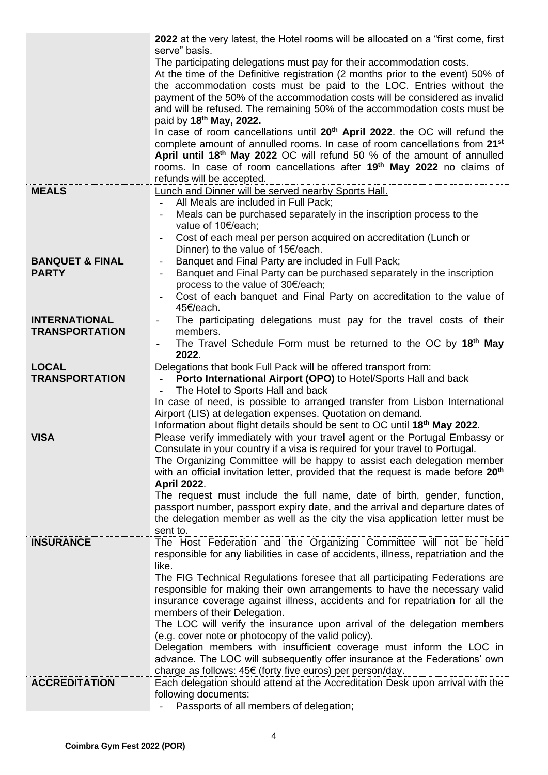|                                            | 2022 at the very latest, the Hotel rooms will be allocated on a "first come, first                                                                                                                                                                |  |  |  |
|--------------------------------------------|---------------------------------------------------------------------------------------------------------------------------------------------------------------------------------------------------------------------------------------------------|--|--|--|
|                                            | serve" basis.<br>The participating delegations must pay for their accommodation costs.<br>At the time of the Definitive registration (2 months prior to the event) 50% of<br>the accommodation costs must be paid to the LOC. Entries without the |  |  |  |
|                                            | payment of the 50% of the accommodation costs will be considered as invalid<br>and will be refused. The remaining 50% of the accommodation costs must be                                                                                          |  |  |  |
|                                            | paid by 18 <sup>th</sup> May, 2022.                                                                                                                                                                                                               |  |  |  |
|                                            | In case of room cancellations until 20 <sup>th</sup> April 2022. the OC will refund the<br>complete amount of annulled rooms. In case of room cancellations from 21 <sup>st</sup>                                                                 |  |  |  |
|                                            | April until 18 <sup>th</sup> May 2022 OC will refund 50 % of the amount of annulled                                                                                                                                                               |  |  |  |
|                                            | rooms. In case of room cancellations after 19 <sup>th</sup> May 2022 no claims of<br>refunds will be accepted.                                                                                                                                    |  |  |  |
| <b>MEALS</b>                               | Lunch and Dinner will be served nearby Sports Hall.                                                                                                                                                                                               |  |  |  |
|                                            | All Meals are included in Full Pack;<br>Meals can be purchased separately in the inscription process to the                                                                                                                                       |  |  |  |
|                                            | value of 10€/each;                                                                                                                                                                                                                                |  |  |  |
|                                            | Cost of each meal per person acquired on accreditation (Lunch or<br>Dinner) to the value of 15€/each.                                                                                                                                             |  |  |  |
| <b>BANQUET &amp; FINAL</b><br><b>PARTY</b> | Banquet and Final Party are included in Full Pack;<br>Banquet and Final Party can be purchased separately in the inscription                                                                                                                      |  |  |  |
|                                            | process to the value of 30€/each;                                                                                                                                                                                                                 |  |  |  |
|                                            | Cost of each banquet and Final Party on accreditation to the value of<br>45€/each.                                                                                                                                                                |  |  |  |
| <b>INTERNATIONAL</b>                       | The participating delegations must pay for the travel costs of their<br>$\overline{\phantom{a}}$                                                                                                                                                  |  |  |  |
| <b>TRANSPORTATION</b>                      | members.<br>The Travel Schedule Form must be returned to the OC by 18th May                                                                                                                                                                       |  |  |  |
|                                            | 2022.                                                                                                                                                                                                                                             |  |  |  |
| <b>LOCAL</b><br><b>TRANSPORTATION</b>      | Delegations that book Full Pack will be offered transport from:<br>Porto International Airport (OPO) to Hotel/Sports Hall and back                                                                                                                |  |  |  |
|                                            | The Hotel to Sports Hall and back<br>In case of need, is possible to arranged transfer from Lisbon International                                                                                                                                  |  |  |  |
|                                            | Airport (LIS) at delegation expenses. Quotation on demand.                                                                                                                                                                                        |  |  |  |
| <b>VISA</b>                                | Information about flight details should be sent to OC until 18th May 2022.<br>Please verify immediately with your travel agent or the Portugal Embassy or                                                                                         |  |  |  |
|                                            | Consulate in your country if a visa is required for your travel to Portugal.                                                                                                                                                                      |  |  |  |
|                                            | The Organizing Committee will be happy to assist each delegation member<br>with an official invitation letter, provided that the request is made before 20 <sup>th</sup>                                                                          |  |  |  |
|                                            | <b>April 2022.</b>                                                                                                                                                                                                                                |  |  |  |
|                                            | The request must include the full name, date of birth, gender, function,<br>passport number, passport expiry date, and the arrival and departure dates of                                                                                         |  |  |  |
|                                            | the delegation member as well as the city the visa application letter must be                                                                                                                                                                     |  |  |  |
|                                            | sent to.                                                                                                                                                                                                                                          |  |  |  |
| <b>INSURANCE</b>                           | The Host Federation and the Organizing Committee will not be held<br>responsible for any liabilities in case of accidents, illness, repatriation and the                                                                                          |  |  |  |
|                                            | like.                                                                                                                                                                                                                                             |  |  |  |
|                                            | The FIG Technical Regulations foresee that all participating Federations are<br>responsible for making their own arrangements to have the necessary valid                                                                                         |  |  |  |
|                                            | insurance coverage against illness, accidents and for repatriation for all the                                                                                                                                                                    |  |  |  |
|                                            | members of their Delegation.<br>The LOC will verify the insurance upon arrival of the delegation members                                                                                                                                          |  |  |  |
|                                            | (e.g. cover note or photocopy of the valid policy).<br>Delegation members with insufficient coverage must inform the LOC in                                                                                                                       |  |  |  |
|                                            | advance. The LOC will subsequently offer insurance at the Federations' own                                                                                                                                                                        |  |  |  |
|                                            | charge as follows: 45€ (forty five euros) per person/day.                                                                                                                                                                                         |  |  |  |
| <b>ACCREDITATION</b>                       | Each delegation should attend at the Accreditation Desk upon arrival with the<br>following documents:                                                                                                                                             |  |  |  |
|                                            | Passports of all members of delegation;                                                                                                                                                                                                           |  |  |  |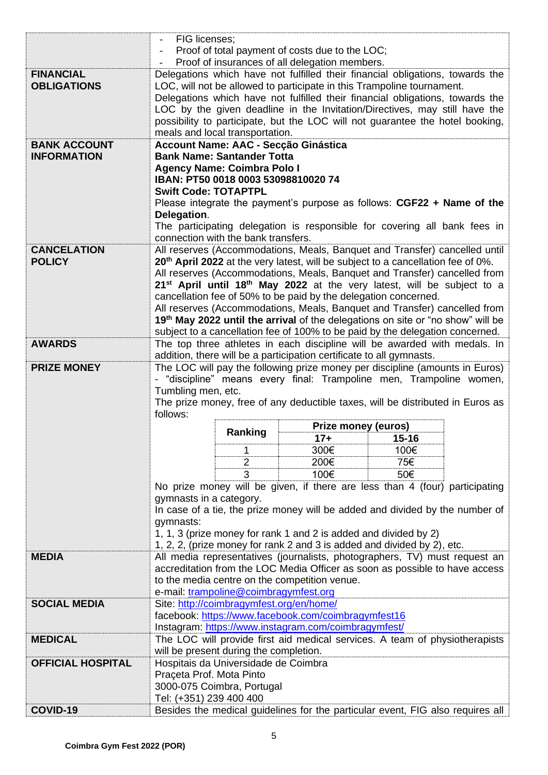|                          | FIG licenses;                                                                                                                                           |                                               |                                                                      |                                                                                                 |  |  |
|--------------------------|---------------------------------------------------------------------------------------------------------------------------------------------------------|-----------------------------------------------|----------------------------------------------------------------------|-------------------------------------------------------------------------------------------------|--|--|
|                          | Proof of total payment of costs due to the LOC;                                                                                                         |                                               |                                                                      |                                                                                                 |  |  |
|                          | Proof of insurances of all delegation members.                                                                                                          |                                               |                                                                      |                                                                                                 |  |  |
| <b>FINANCIAL</b>         |                                                                                                                                                         |                                               |                                                                      | Delegations which have not fulfilled their financial obligations, towards the                   |  |  |
| <b>OBLIGATIONS</b>       |                                                                                                                                                         |                                               |                                                                      |                                                                                                 |  |  |
|                          | LOC, will not be allowed to participate in this Trampoline tournament.<br>Delegations which have not fulfilled their financial obligations, towards the |                                               |                                                                      |                                                                                                 |  |  |
|                          |                                                                                                                                                         |                                               |                                                                      |                                                                                                 |  |  |
|                          | LOC by the given deadline in the Invitation/Directives, may still have the                                                                              |                                               |                                                                      |                                                                                                 |  |  |
|                          | possibility to participate, but the LOC will not guarantee the hotel booking,                                                                           |                                               |                                                                      |                                                                                                 |  |  |
|                          | meals and local transportation.                                                                                                                         |                                               |                                                                      |                                                                                                 |  |  |
| <b>BANK ACCOUNT</b>      | Account Name: AAC - Secção Ginástica                                                                                                                    |                                               |                                                                      |                                                                                                 |  |  |
| <b>INFORMATION</b>       | <b>Bank Name: Santander Totta</b>                                                                                                                       |                                               |                                                                      |                                                                                                 |  |  |
|                          | <b>Agency Name: Coimbra Polo I</b>                                                                                                                      |                                               |                                                                      |                                                                                                 |  |  |
|                          | IBAN: PT50 0018 0003 53098810020 74                                                                                                                     |                                               |                                                                      |                                                                                                 |  |  |
|                          | <b>Swift Code: TOTAPTPL</b>                                                                                                                             |                                               |                                                                      |                                                                                                 |  |  |
|                          |                                                                                                                                                         |                                               |                                                                      | Please integrate the payment's purpose as follows: CGF22 + Name of the                          |  |  |
|                          | Delegation.                                                                                                                                             |                                               |                                                                      |                                                                                                 |  |  |
|                          |                                                                                                                                                         |                                               |                                                                      | The participating delegation is responsible for covering all bank fees in                       |  |  |
|                          |                                                                                                                                                         | connection with the bank transfers.           |                                                                      |                                                                                                 |  |  |
| <b>CANCELATION</b>       |                                                                                                                                                         |                                               |                                                                      | All reserves (Accommodations, Meals, Banquet and Transfer) cancelled until                      |  |  |
| <b>POLICY</b>            |                                                                                                                                                         |                                               |                                                                      | 20 <sup>th</sup> April 2022 at the very latest, will be subject to a cancellation fee of 0%.    |  |  |
|                          |                                                                                                                                                         |                                               |                                                                      | All reserves (Accommodations, Meals, Banquet and Transfer) cancelled from                       |  |  |
|                          |                                                                                                                                                         |                                               |                                                                      | 21 <sup>st</sup> April until 18 <sup>th</sup> May 2022 at the very latest, will be subject to a |  |  |
|                          |                                                                                                                                                         |                                               | cancellation fee of 50% to be paid by the delegation concerned.      |                                                                                                 |  |  |
|                          |                                                                                                                                                         |                                               |                                                                      | All reserves (Accommodations, Meals, Banquet and Transfer) cancelled from                       |  |  |
|                          |                                                                                                                                                         |                                               |                                                                      | 19 <sup>th</sup> May 2022 until the arrival of the delegations on site or "no show" will be     |  |  |
|                          |                                                                                                                                                         |                                               |                                                                      | subject to a cancellation fee of 100% to be paid by the delegation concerned.                   |  |  |
| <b>AWARDS</b>            |                                                                                                                                                         |                                               |                                                                      | The top three athletes in each discipline will be awarded with medals. In                       |  |  |
|                          |                                                                                                                                                         |                                               | addition, there will be a participation certificate to all gymnasts. |                                                                                                 |  |  |
|                          |                                                                                                                                                         |                                               |                                                                      |                                                                                                 |  |  |
| <b>PRIZE MONEY</b>       |                                                                                                                                                         |                                               |                                                                      | The LOC will pay the following prize money per discipline (amounts in Euros)                    |  |  |
|                          |                                                                                                                                                         |                                               |                                                                      | - "discipline" means every final: Trampoline men, Trampoline women,                             |  |  |
|                          | Tumbling men, etc.                                                                                                                                      |                                               |                                                                      |                                                                                                 |  |  |
|                          | The prize money, free of any deductible taxes, will be distributed in Euros as                                                                          |                                               |                                                                      |                                                                                                 |  |  |
|                          |                                                                                                                                                         |                                               |                                                                      |                                                                                                 |  |  |
|                          | follows:                                                                                                                                                |                                               |                                                                      |                                                                                                 |  |  |
|                          |                                                                                                                                                         |                                               | Prize money (euros)                                                  |                                                                                                 |  |  |
|                          |                                                                                                                                                         | Ranking                                       | $17+$                                                                | $15 - 16$                                                                                       |  |  |
|                          |                                                                                                                                                         | 1                                             | 300€                                                                 | 100€                                                                                            |  |  |
|                          |                                                                                                                                                         | $\overline{2}$                                | 200€                                                                 | 75€                                                                                             |  |  |
|                          |                                                                                                                                                         | 3                                             | 100€                                                                 | 50€                                                                                             |  |  |
|                          |                                                                                                                                                         |                                               |                                                                      | No prize money will be given, if there are less than 4 (four) participating                     |  |  |
|                          | gymnasts in a category.                                                                                                                                 |                                               |                                                                      |                                                                                                 |  |  |
|                          |                                                                                                                                                         |                                               |                                                                      | In case of a tie, the prize money will be added and divided by the number of                    |  |  |
|                          | gymnasts:                                                                                                                                               |                                               |                                                                      |                                                                                                 |  |  |
|                          |                                                                                                                                                         |                                               | 1, 1, 3 (prize money for rank 1 and 2 is added and divided by 2)     |                                                                                                 |  |  |
|                          |                                                                                                                                                         |                                               |                                                                      |                                                                                                 |  |  |
| <b>MEDIA</b>             |                                                                                                                                                         |                                               |                                                                      | 1, 2, 2, (prize money for rank 2 and 3 is added and divided by 2), etc.                         |  |  |
|                          |                                                                                                                                                         |                                               |                                                                      | All media representatives (journalists, photographers, TV) must request an                      |  |  |
|                          |                                                                                                                                                         |                                               |                                                                      | accreditation from the LOC Media Officer as soon as possible to have access                     |  |  |
|                          |                                                                                                                                                         | to the media centre on the competition venue. |                                                                      |                                                                                                 |  |  |
|                          |                                                                                                                                                         | e-mail: trampoline@coimbragymfest.org         |                                                                      |                                                                                                 |  |  |
| <b>SOCIAL MEDIA</b>      |                                                                                                                                                         | Site: http://coimbragymfest.org/en/home/      |                                                                      |                                                                                                 |  |  |
|                          |                                                                                                                                                         |                                               | facebook: https://www.facebook.com/coimbragymfest16                  |                                                                                                 |  |  |
|                          |                                                                                                                                                         |                                               | Instagram: https://www.instagram.com/coimbragymfest/                 |                                                                                                 |  |  |
| <b>MEDICAL</b>           |                                                                                                                                                         |                                               |                                                                      | The LOC will provide first aid medical services. A team of physiotherapists                     |  |  |
|                          |                                                                                                                                                         | will be present during the completion.        |                                                                      |                                                                                                 |  |  |
| <b>OFFICIAL HOSPITAL</b> |                                                                                                                                                         | Hospitais da Universidade de Coimbra          |                                                                      |                                                                                                 |  |  |
|                          | Praçeta Prof. Mota Pinto                                                                                                                                |                                               |                                                                      |                                                                                                 |  |  |
|                          |                                                                                                                                                         | 3000-075 Coimbra, Portugal                    |                                                                      |                                                                                                 |  |  |
| COVID-19                 | Tel: (+351) 239 400 400                                                                                                                                 |                                               |                                                                      | Besides the medical guidelines for the particular event, FIG also requires all                  |  |  |